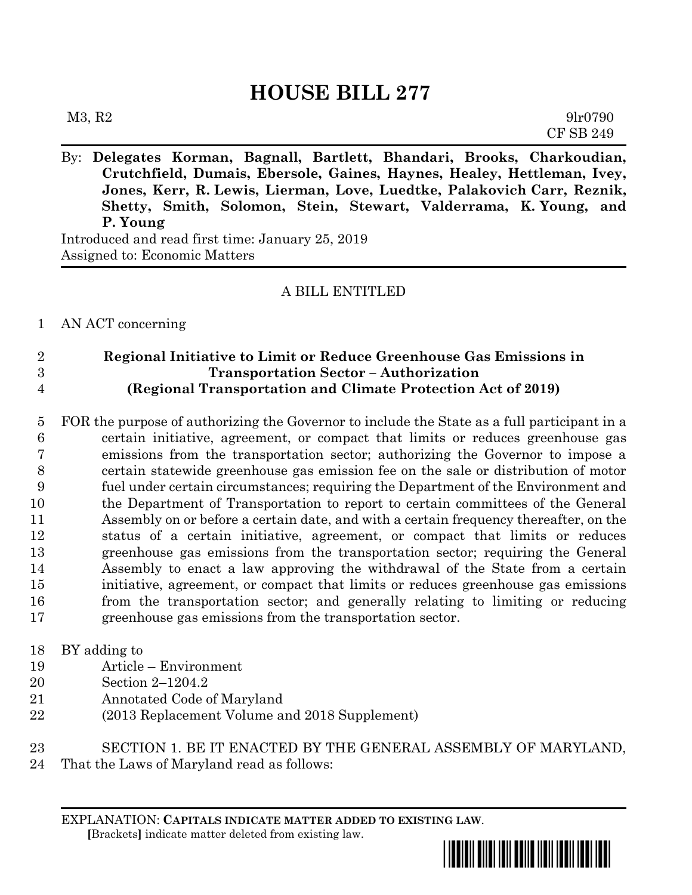## **HOUSE BILL 277**

| M3, R2 | 9lr0790          |
|--------|------------------|
|        | <b>CF SB 249</b> |

By: **Delegates Korman, Bagnall, Bartlett, Bhandari, Brooks, Charkoudian, Crutchfield, Dumais, Ebersole, Gaines, Haynes, Healey, Hettleman, Ivey, Jones, Kerr, R. Lewis, Lierman, Love, Luedtke, Palakovich Carr, Reznik, Shetty, Smith, Solomon, Stein, Stewart, Valderrama, K. Young, and P. Young**

Introduced and read first time: January 25, 2019 Assigned to: Economic Matters

## A BILL ENTITLED

AN ACT concerning

 **Regional Initiative to Limit or Reduce Greenhouse Gas Emissions in Transportation Sector – Authorization (Regional Transportation and Climate Protection Act of 2019)**

 FOR the purpose of authorizing the Governor to include the State as a full participant in a certain initiative, agreement, or compact that limits or reduces greenhouse gas emissions from the transportation sector; authorizing the Governor to impose a certain statewide greenhouse gas emission fee on the sale or distribution of motor fuel under certain circumstances; requiring the Department of the Environment and the Department of Transportation to report to certain committees of the General Assembly on or before a certain date, and with a certain frequency thereafter, on the status of a certain initiative, agreement, or compact that limits or reduces greenhouse gas emissions from the transportation sector; requiring the General Assembly to enact a law approving the withdrawal of the State from a certain initiative, agreement, or compact that limits or reduces greenhouse gas emissions from the transportation sector; and generally relating to limiting or reducing greenhouse gas emissions from the transportation sector.

## BY adding to

- Article Environment
- Section 2–1204.2
- Annotated Code of Maryland
- (2013 Replacement Volume and 2018 Supplement)

SECTION 1. BE IT ENACTED BY THE GENERAL ASSEMBLY OF MARYLAND,

That the Laws of Maryland read as follows:

EXPLANATION: **CAPITALS INDICATE MATTER ADDED TO EXISTING LAW**.  **[**Brackets**]** indicate matter deleted from existing law.